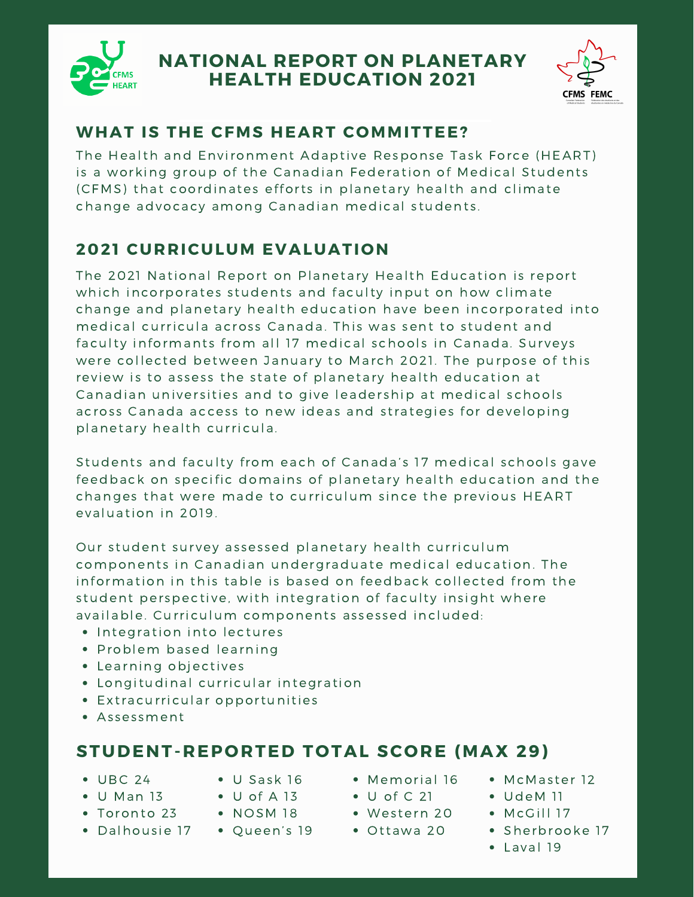

# **NATIONAL REPORT ON PLANETARY HEALTH EDUCATION 2021**



#### **WHAT IS THE CFMS HEART COMMITTEE?**

The Health and Environment Adaptive Response Task Force (HEART) is a working group of the Canadian Federation of Medical Students (CFMS) that coordinates efforts in planetary health and climate change advocacy among Canadian medical students.

### **2021 CURRICULUM EVALUATION**

The 2021 National Report on Planetary Health Education is report which incorporates students and faculty input on how climate change and planetary health education have been incorporated into medical curricula across Canada. This was sent to student and facultv informants from all 17 medical schools in Canada. Surveys were collected between January to March 2021. The purpose of this review is to assess the state of planetary health education at Canadian universities and to give leadership at medical schools across Canada access to new ideas and strategies for developing planetary health curricula.

Students and faculty from each of Canada's 17 medical schools gave feedback on specific domains of planetary health education and the changes that were made to curriculum since the previous HEART evaluation in 2019.

Our student survey assessed planetary health curriculum components in Canadian undergraduate medical education. The information in this table is based on feedback collected from the student perspective, with integration of faculty insight where available. Curriculum components assessed included:

- Integration into lectures
- Problem based learning
- Learning objectives
- Longitudinal curricular integration
- Extracurricular opportunities
- Assessment

# **STUDENT-REPORTED TOTAL SCORE (MAX 29)**

- $\bullet$  UBC 24
- U Sask 16
- $\bullet$  U Man 13  $\bullet$  U of A 13
- Toronto 23
- Dalhousie 17  $\bullet$  NOSM 18
- Memorial 16
- $\bullet$  U of C 21
- Western 20
- Ottawa 20
- McMaster 12
- UdeM 11
- McGill 17
- Sherbrooke 17
- Laval 19

• Queen's 19